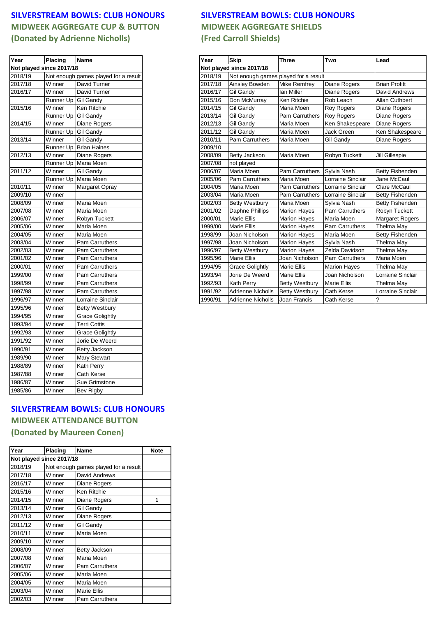## **MIDWEEK AGGREGATE CUP & BUTTON MIDWEEK AGGREGATE SHIELDS (Donated by Adrienne Nicholls) (Fred Carroll Shields)**

| Year                     | Placing   | <b>Name</b>                          |
|--------------------------|-----------|--------------------------------------|
| Not played since 2017/18 |           |                                      |
| 2018/19                  |           | Not enough games played for a result |
| 2017/18                  | Winner    | David Turner                         |
| 2016/17                  | Winner    | David Turner                         |
|                          | Runner Up | <b>Gil Gandy</b>                     |
| 2015/16                  | Winner    | Ken Ritchie                          |
|                          | Runner Up | <b>Gil Gandy</b>                     |
| 2014/15                  | Winner    | Diane Rogers                         |
|                          | Runner Up | <b>Gil Gandy</b>                     |
| 2013/14                  | Winner    | <b>Gil Gandy</b>                     |
|                          | Runner Up | <b>Brian Haines</b>                  |
| 2012/13                  | Winner    | Diane Rogers                         |
|                          | Runner Up | Maria Moen                           |
| 2011/12                  | Winner    | <b>Gil Gandy</b>                     |
|                          | Runner Up | Maria Moen                           |
| 2010/11                  | Winner    | Margaret Opray                       |
| 2009/10                  | Winner    |                                      |
| 2008/09                  | Winner    | Maria Moen                           |
| 2007/08                  | Winner    | Maria Moen                           |
| 2006/07                  | Winner    | Robyn Tuckett                        |
| 2005/06                  | Winner    | Maria Moen                           |
| 2004/05                  | Winner    | Maria Moen                           |
| 2003/04                  | Winner    | Pam Carruthers                       |
| 2002/03                  | Winner    | Pam Carruthers                       |
| 2001/02                  | Winner    | Pam Carruthers                       |
| 2000/01                  | Winner    | Pam Carruthers                       |
| 1999/00                  | Winner    | Pam Carruthers                       |
| 1998/99                  | Winner    | Pam Carruthers                       |
| 1997/98                  | Winner    | Pam Carruthers                       |
| 1996/97                  | Winner    | Lorraine Sinclair                    |
| 1995/96                  | Winner    | <b>Betty Westbury</b>                |
| 1994/95                  | Winner    | <b>Grace Golightly</b>               |
| 1993/94                  | Winner    | Terri Cottis                         |
| 1992/93                  | Winner    | <b>Grace Golightly</b>               |
| 1991/92                  | Winner    | Jorie De Weerd                       |
| 1990/91                  | Winner    | Betty Jackson                        |
| 1989/90                  | Winner    | <b>Mary Stewart</b>                  |
| 1988/89                  | Winner    | Kath Perry                           |
| 1987/88                  | Winner    | Cath Kerse                           |
|                          |           |                                      |
| 1986/87                  | Winner    | Sue Grimstone                        |
| 1985/86                  | Winner    | Bev Rigby                            |

## **SILVERSTREAM BOWLS: CLUB HONOURS MIDWEEK ATTENDANCE BUTTON (Donated by Maureen Conen)**

| Year                     | <b>Placing</b> | Name                                 | <b>Note</b> |  |  |
|--------------------------|----------------|--------------------------------------|-------------|--|--|
| Not played since 2017/18 |                |                                      |             |  |  |
| 2018/19                  |                | Not enough games played for a result |             |  |  |
| 2017/18                  | Winner         | David Andrews                        |             |  |  |
| 2016/17                  | Winner         | Diane Rogers                         |             |  |  |
| 2015/16                  | Winner         | Ken Ritchie                          |             |  |  |
| 2014/15                  | Winner         | Diane Rogers                         | 1           |  |  |
| 2013/14                  | Winner         | <b>Gil Gandy</b>                     |             |  |  |
| 2012/13                  | Winner         | Diane Rogers                         |             |  |  |
| 2011/12                  | Winner         | <b>Gil Gandy</b>                     |             |  |  |
| 2010/11                  | Winner         | Maria Moen                           |             |  |  |
| 2009/10                  | Winner         |                                      |             |  |  |
| 2008/09                  | Winner         | <b>Betty Jackson</b>                 |             |  |  |
| 2007/08                  | Winner         | Maria Moen                           |             |  |  |
| 2006/07                  | Winner         | Pam Carruthers                       |             |  |  |
| 2005/06                  | Winner         | Maria Moen                           |             |  |  |
| 2004/05                  | Winner         | Maria Moen                           |             |  |  |
| 2003/04                  | Winner         | <b>Marie Ellis</b>                   |             |  |  |
| 2002/03                  | Winner         | <b>Pam Carruthers</b>                |             |  |  |

## **SILVERSTREAM BOWLS: CLUB HONOURS SILVERSTREAM BOWLS: CLUB HONOURS**

| Year    | <b>Placing</b>                       | Name                   |  |
|---------|--------------------------------------|------------------------|--|
|         | Not played since 2017/18             |                        |  |
| 2018/19 | Not enough games played for a result |                        |  |
| 2017/18 | Winner                               | David Turner           |  |
| 2016/17 | Winner                               | David Turner           |  |
|         | Runner Up Gil Gandy                  |                        |  |
| 2015/16 | Winner                               | <b>Ken Ritchie</b>     |  |
|         | Runner Up Gil Gandy                  |                        |  |
| 2014/15 | Winner                               | Diane Rogers           |  |
|         | Runner Up Gil Gandy                  |                        |  |
| 2013/14 | Winner                               | <b>Gil Gandy</b>       |  |
|         |                                      | Runner Up Brian Haines |  |
| 2012/13 | Winner                               | <b>Diane Rogers</b>    |  |
|         |                                      | Runner Up Maria Moen   |  |
| 2011/12 | Winner                               | <b>Gil Gandy</b>       |  |
|         |                                      | Runner Up Maria Moen   |  |
| 2010/11 | Winner                               | Margaret Opray         |  |
| 2009/10 | Winner                               |                        |  |
| 2008/09 | Winner                               | Maria Moen             |  |
| 2007/08 | Winner                               | Maria Moen             |  |
| 2006/07 | Winner                               | Robyn Tuckett          |  |
| 2005/06 | Winner                               | Maria Moen             |  |
| 2004/05 | Winner                               | Maria Moen             |  |
| 2003/04 | Winner                               | <b>Pam Carruthers</b>  |  |
| 2002/03 | Winner                               | <b>Pam Carruthers</b>  |  |
| 2001/02 | Winner                               | <b>Pam Carruthers</b>  |  |
| 2000/01 | Winner                               | Pam Carruthers         |  |
| 1999/00 | Winner                               | <b>Pam Carruthers</b>  |  |
| 1998/99 | Winner                               | Pam Carruthers         |  |
| 1997/98 | Winner                               | <b>Pam Carruthers</b>  |  |
| 1996/97 | Winner                               | Lorraine Sinclair      |  |